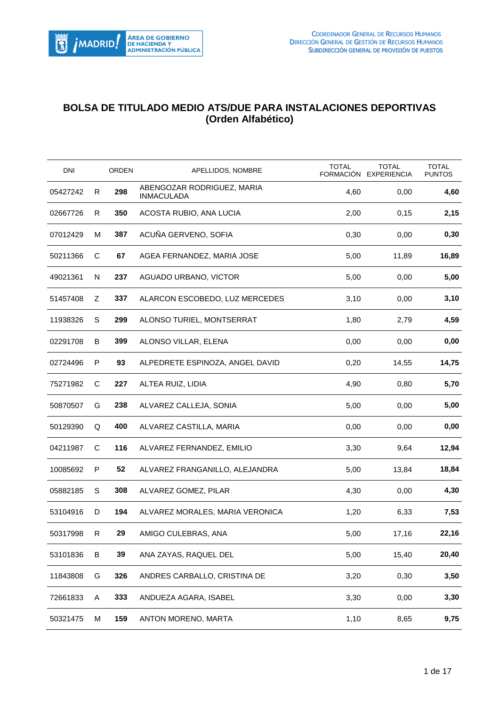

## **BOLSA DE TITULADO MEDIO ATS/DUE PARA INSTALACIONES DEPORTIVAS (Orden Alfabético)**

| <b>DNI</b> |   | ORDEN | APELLIDOS, NOMBRE                               | <b>TOTAL</b><br>FORMACIÓN | <b>TOTAL</b><br><b>EXPERIENCIA</b> | <b>TOTAL</b><br><b>PUNTOS</b> |
|------------|---|-------|-------------------------------------------------|---------------------------|------------------------------------|-------------------------------|
| 05427242   | R | 298   | ABENGOZAR RODRIGUEZ, MARIA<br><b>INMACULADA</b> | 4,60                      | 0,00                               | 4,60                          |
| 02667726   | R | 350   | ACOSTA RUBIO, ANA LUCIA                         | 2,00                      | 0,15                               | 2,15                          |
| 07012429   | м | 387   | ACUÑA GERVENO, SOFIA                            | 0,30                      | 0,00                               | 0,30                          |
| 50211366   | C | 67    | AGEA FERNANDEZ, MARIA JOSE                      | 5,00                      | 11,89                              | 16,89                         |
| 49021361   | N | 237   | AGUADO URBANO, VICTOR                           | 5,00                      | 0,00                               | 5,00                          |
| 51457408   | Ζ | 337   | ALARCON ESCOBEDO, LUZ MERCEDES                  | 3,10                      | 0,00                               | 3,10                          |
| 11938326   | S | 299   | ALONSO TURIEL, MONTSERRAT                       | 1,80                      | 2,79                               | 4,59                          |
| 02291708   | B | 399   | ALONSO VILLAR, ELENA                            | 0,00                      | 0,00                               | 0,00                          |
| 02724496   | P | 93    | ALPEDRETE ESPINOZA, ANGEL DAVID                 | 0,20                      | 14,55                              | 14,75                         |
| 75271982   | C | 227   | ALTEA RUIZ, LIDIA                               | 4,90                      | 0,80                               | 5,70                          |
| 50870507   | G | 238   | ALVAREZ CALLEJA, SONIA                          | 5,00                      | 0,00                               | 5,00                          |
| 50129390   | Q | 400   | ALVAREZ CASTILLA, MARIA                         | 0,00                      | 0,00                               | 0,00                          |
| 04211987   | С | 116   | ALVAREZ FERNANDEZ, EMILIO                       | 3,30                      | 9,64                               | 12,94                         |
| 10085692   | P | 52    | ALVAREZ FRANGANILLO, ALEJANDRA                  | 5,00                      | 13,84                              | 18,84                         |
| 05882185   | S | 308   | ALVAREZ GOMEZ, PILAR                            | 4,30                      | 0,00                               | 4,30                          |
| 53104916   | D | 194   | ALVAREZ MORALES, MARIA VERONICA                 | 1,20                      | 6,33                               | 7,53                          |
| 50317998   | R | 29    | AMIGO CULEBRAS, ANA                             | 5,00                      | 17,16                              | 22,16                         |
| 53101836   | B | 39    | ANA ZAYAS, RAQUEL DEL                           | 5,00                      | 15,40                              | 20,40                         |
| 11843808   | G | 326   | ANDRES CARBALLO, CRISTINA DE                    | 3,20                      | 0,30                               | 3,50                          |
| 72661833   | Α | 333   | ANDUEZA AGARA, ISABEL                           | 3,30                      | 0,00                               | 3,30                          |
| 50321475   | М | 159   | ANTON MORENO, MARTA                             | 1,10                      | 8,65                               | 9,75                          |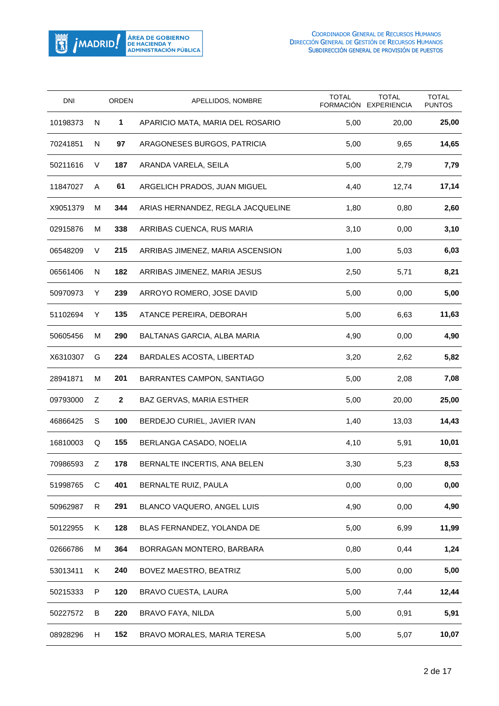

| DNI      |    | ORDEN        | APELLIDOS, NOMBRE                 | <b>TOTAL</b> | <b>TOTAL</b><br>FORMACIÓN EXPERIENCIA | <b>TOTAL</b><br><b>PUNTOS</b> |
|----------|----|--------------|-----------------------------------|--------------|---------------------------------------|-------------------------------|
| 10198373 | N  | 1            | APARICIO MATA, MARIA DEL ROSARIO  | 5,00         | 20,00                                 | 25,00                         |
| 70241851 | N  | 97           | ARAGONESES BURGOS, PATRICIA       | 5,00         | 9,65                                  | 14,65                         |
| 50211616 | V  | 187          | ARANDA VARELA, SEILA              | 5,00         | 2,79                                  | 7,79                          |
| 11847027 | Α  | 61           | ARGELICH PRADOS, JUAN MIGUEL      | 4,40         | 12,74                                 | 17,14                         |
| X9051379 | M  | 344          | ARIAS HERNANDEZ, REGLA JACQUELINE | 1,80         | 0,80                                  | 2,60                          |
| 02915876 | м  | 338          | ARRIBAS CUENCA, RUS MARIA         | 3,10         | 0,00                                  | 3,10                          |
| 06548209 | V  | 215          | ARRIBAS JIMENEZ, MARIA ASCENSION  | 1,00         | 5,03                                  | 6,03                          |
| 06561406 | N  | 182          | ARRIBAS JIMENEZ, MARIA JESUS      | 2,50         | 5,71                                  | 8,21                          |
| 50970973 | Y  | 239          | ARROYO ROMERO, JOSE DAVID         | 5,00         | 0,00                                  | 5,00                          |
| 51102694 | Y  | 135          | ATANCE PEREIRA, DEBORAH           | 5,00         | 6,63                                  | 11,63                         |
| 50605456 | м  | 290          | BALTANAS GARCIA, ALBA MARIA       | 4,90         | 0,00                                  | 4,90                          |
| X6310307 | G  | 224          | BARDALES ACOSTA, LIBERTAD         | 3,20         | 2,62                                  | 5,82                          |
| 28941871 | м  | 201          | BARRANTES CAMPON, SANTIAGO        | 5,00         | 2,08                                  | 7,08                          |
| 09793000 | Ζ  | $\mathbf{2}$ | BAZ GERVAS, MARIA ESTHER          | 5,00         | 20,00                                 | 25,00                         |
| 46866425 | S  | 100          | BERDEJO CURIEL, JAVIER IVAN       | 1,40         | 13,03                                 | 14,43                         |
| 16810003 | Q  | 155          | BERLANGA CASADO, NOELIA           | 4,10         | 5,91                                  | 10,01                         |
| 70986593 | Z  | 178          | BERNALTE INCERTIS, ANA BELEN      | 3,30         | 5,23                                  | 8,53                          |
| 51998765 | С  | 401          | BERNALTE RUIZ, PAULA              | 0,00         | 0,00                                  | 0,00                          |
| 50962987 | R. | 291          | BLANCO VAQUERO, ANGEL LUIS        | 4,90         | 0,00                                  | 4,90                          |
| 50122955 | K. | 128          | BLAS FERNANDEZ, YOLANDA DE        | 5,00         | 6,99                                  | 11,99                         |
| 02666786 | M  | 364          | BORRAGAN MONTERO, BARBARA         | 0,80         | 0,44                                  | 1,24                          |
| 53013411 | Κ  | 240          | BOVEZ MAESTRO, BEATRIZ            | 5,00         | 0,00                                  | 5,00                          |
| 50215333 | P  | 120          | BRAVO CUESTA, LAURA               | 5,00         | 7,44                                  | 12,44                         |
| 50227572 | В  | 220          | BRAVO FAYA, NILDA                 | 5,00         | 0,91                                  | 5,91                          |
| 08928296 | H  | 152          | BRAVO MORALES, MARIA TERESA       | 5,00         | 5,07                                  | 10,07                         |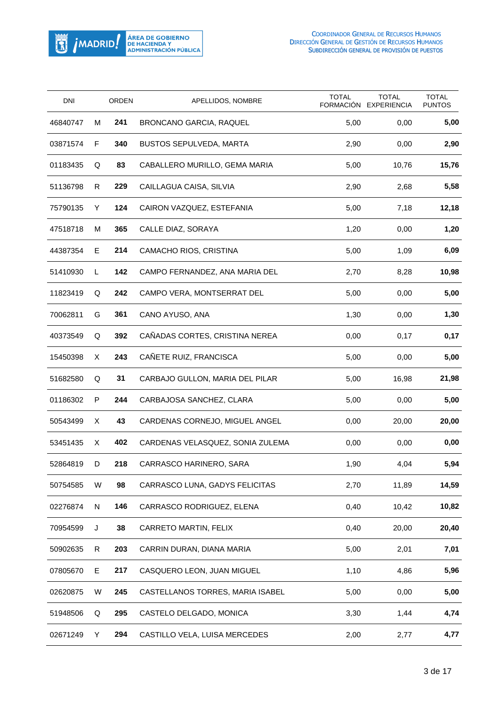

| DNI      |    | <b>ORDEN</b> | APELLIDOS, NOMBRE                | <b>TOTAL</b> | <b>TOTAL</b><br>FORMACIÓN EXPERIENCIA | <b>TOTAL</b><br><b>PUNTOS</b> |
|----------|----|--------------|----------------------------------|--------------|---------------------------------------|-------------------------------|
| 46840747 | м  | 241          | BRONCANO GARCIA, RAQUEL          | 5,00         | 0,00                                  | 5,00                          |
| 03871574 | F  | 340          | <b>BUSTOS SEPULVEDA, MARTA</b>   | 2,90         | 0,00                                  | 2,90                          |
| 01183435 | Q  | 83           | CABALLERO MURILLO, GEMA MARIA    | 5,00         | 10,76                                 | 15,76                         |
| 51136798 | R. | 229          | CAILLAGUA CAISA, SILVIA          | 2,90         | 2,68                                  | 5,58                          |
| 75790135 | Y  | 124          | CAIRON VAZQUEZ, ESTEFANIA        | 5,00         | 7,18                                  | 12,18                         |
| 47518718 | м  | 365          | CALLE DIAZ, SORAYA               | 1,20         | 0,00                                  | 1,20                          |
| 44387354 | Е  | 214          | CAMACHO RIOS, CRISTINA           | 5,00         | 1,09                                  | 6,09                          |
| 51410930 | L  | 142          | CAMPO FERNANDEZ, ANA MARIA DEL   | 2,70         | 8,28                                  | 10,98                         |
| 11823419 | Q  | 242          | CAMPO VERA, MONTSERRAT DEL       | 5,00         | 0,00                                  | 5,00                          |
| 70062811 | G  | 361          | CANO AYUSO, ANA                  | 1,30         | 0,00                                  | 1,30                          |
| 40373549 | Q  | 392          | CAÑADAS CORTES, CRISTINA NEREA   | 0,00         | 0,17                                  | 0,17                          |
| 15450398 | Χ  | 243          | CAÑETE RUIZ, FRANCISCA           | 5,00         | 0,00                                  | 5,00                          |
| 51682580 | Q  | 31           | CARBAJO GULLON, MARIA DEL PILAR  | 5,00         | 16,98                                 | 21,98                         |
| 01186302 | P  | 244          | CARBAJOSA SANCHEZ, CLARA         | 5,00         | 0,00                                  | 5,00                          |
| 50543499 | X. | 43           | CARDENAS CORNEJO, MIGUEL ANGEL   | 0,00         | 20,00                                 | 20,00                         |
| 53451435 | X. | 402          | CARDENAS VELASQUEZ, SONIA ZULEMA | 0,00         | 0,00                                  | 0,00                          |
| 52864819 | D  | 218          | CARRASCO HARINERO, SARA          | 1,90         | 4,04                                  | 5,94                          |
| 50754585 | W  | 98           | CARRASCO LUNA, GADYS FELICITAS   | 2,70         | 11,89                                 | 14,59                         |
| 02276874 | N  | 146          | CARRASCO RODRIGUEZ, ELENA        | 0,40         | 10,42                                 | 10,82                         |
| 70954599 | J  | 38           | CARRETO MARTIN, FELIX            | 0,40         | 20,00                                 | 20,40                         |
| 50902635 | R  | 203          | CARRIN DURAN, DIANA MARIA        | 5,00         | 2,01                                  | 7,01                          |
| 07805670 | Е  | 217          | CASQUERO LEON, JUAN MIGUEL       | 1,10         | 4,86                                  | 5,96                          |
| 02620875 | W  | 245          | CASTELLANOS TORRES, MARIA ISABEL | 5,00         | 0,00                                  | 5,00                          |
| 51948506 | Q  | 295          | CASTELO DELGADO, MONICA          | 3,30         | 1,44                                  | 4,74                          |
| 02671249 | Y  | 294          | CASTILLO VELA, LUISA MERCEDES    | 2,00         | 2,77                                  | 4,77                          |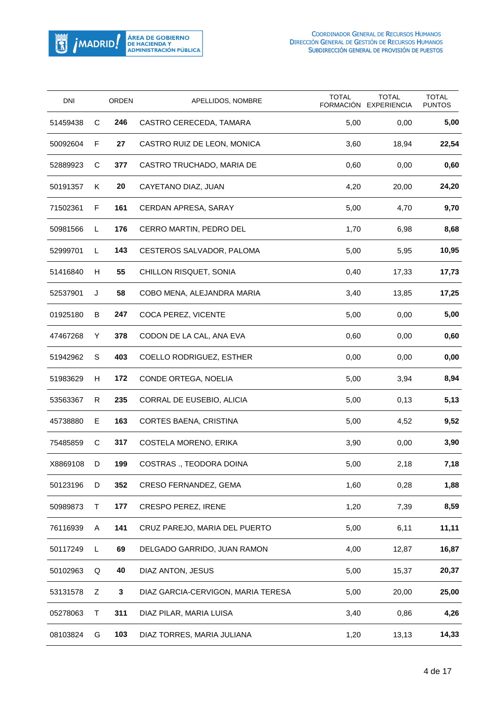

| <b>DNI</b> |    | <b>ORDEN</b> | APELLIDOS, NOMBRE                  | <b>TOTAL</b> | <b>TOTAL</b><br>FORMACIÓN EXPERIENCIA | <b>TOTAL</b><br><b>PUNTOS</b> |
|------------|----|--------------|------------------------------------|--------------|---------------------------------------|-------------------------------|
| 51459438   | С  | 246          | CASTRO CERECEDA, TAMARA            | 5,00         | 0,00                                  | 5,00                          |
| 50092604   | F  | 27           | CASTRO RUIZ DE LEON, MONICA        | 3,60         | 18,94                                 | 22,54                         |
| 52889923   | С  | 377          | CASTRO TRUCHADO, MARIA DE          | 0,60         | 0,00                                  | 0,60                          |
| 50191357   | K  | 20           | CAYETANO DIAZ, JUAN                | 4,20         | 20,00                                 | 24,20                         |
| 71502361   | F  | 161          | CERDAN APRESA, SARAY               | 5,00         | 4,70                                  | 9,70                          |
| 50981566   | L. | 176          | CERRO MARTIN, PEDRO DEL            | 1,70         | 6,98                                  | 8,68                          |
| 52999701   | L. | 143          | CESTEROS SALVADOR, PALOMA          | 5,00         | 5,95                                  | 10,95                         |
| 51416840   | H  | 55           | CHILLON RISQUET, SONIA             | 0,40         | 17,33                                 | 17,73                         |
| 52537901   | J  | 58           | COBO MENA, ALEJANDRA MARIA         | 3,40         | 13,85                                 | 17,25                         |
| 01925180   | B  | 247          | COCA PEREZ, VICENTE                | 5,00         | 0,00                                  | 5,00                          |
| 47467268   | Υ  | 378          | CODON DE LA CAL, ANA EVA           | 0,60         | 0,00                                  | 0,60                          |
| 51942962   | S  | 403          | COELLO RODRIGUEZ, ESTHER           | 0,00         | 0,00                                  | 0,00                          |
| 51983629   | H  | 172          | CONDE ORTEGA, NOELIA               | 5,00         | 3,94                                  | 8,94                          |
| 53563367   | R  | 235          | CORRAL DE EUSEBIO, ALICIA          | 5,00         | 0,13                                  | 5,13                          |
| 45738880   | Е  | 163          | CORTES BAENA, CRISTINA             | 5,00         | 4,52                                  | 9,52                          |
| 75485859   | C  | 317          | COSTELA MORENO, ERIKA              | 3,90         | 0,00                                  | 3,90                          |
| X8869108   | D  | 199          | COSTRAS., TEODORA DOINA            | 5,00         | 2,18                                  | 7,18                          |
| 50123196   | D  | 352          | CRESO FERNANDEZ, GEMA              | 1,60         | 0,28                                  | 1,88                          |
| 50989873   | т  | 177          | <b>CRESPO PEREZ, IRENE</b>         | 1,20         | 7,39                                  | 8,59                          |
| 76116939   | A  | 141          | CRUZ PAREJO, MARIA DEL PUERTO      | 5,00         | 6,11                                  | 11,11                         |
| 50117249   | L  | 69           | DELGADO GARRIDO, JUAN RAMON        | 4,00         | 12,87                                 | 16,87                         |
| 50102963   | Q  | 40           | DIAZ ANTON, JESUS                  | 5,00         | 15,37                                 | 20,37                         |
| 53131578   | Ζ  | 3            | DIAZ GARCIA-CERVIGON, MARIA TERESA | 5,00         | 20,00                                 | 25,00                         |
| 05278063   | т  | 311          | DIAZ PILAR, MARIA LUISA            | 3,40         | 0,86                                  | 4,26                          |
| 08103824   | G  | 103          | DIAZ TORRES, MARIA JULIANA         | 1,20         | 13,13                                 | 14,33                         |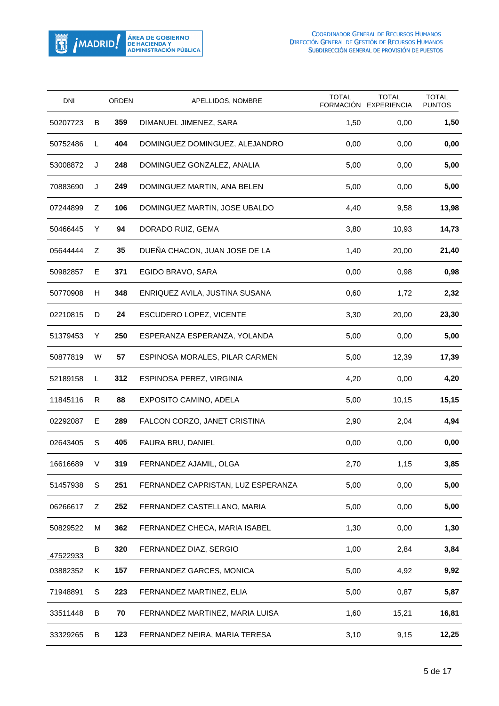

| <b>DNI</b> |    | <b>ORDEN</b> | APELLIDOS, NOMBRE                  | <b>TOTAL</b><br>FORMACIÓN | <b>TOTAL</b><br><b>EXPERIENCIA</b> | <b>TOTAL</b><br><b>PUNTOS</b> |
|------------|----|--------------|------------------------------------|---------------------------|------------------------------------|-------------------------------|
| 50207723   | B  | 359          | DIMANUEL JIMENEZ, SARA             | 1,50                      | 0,00                               | 1,50                          |
| 50752486   | L  | 404          | DOMINGUEZ DOMINGUEZ, ALEJANDRO     | 0,00                      | 0,00                               | 0,00                          |
| 53008872   | J  | 248          | DOMINGUEZ GONZALEZ, ANALIA         | 5,00                      | 0,00                               | 5,00                          |
| 70883690   | J  | 249          | DOMINGUEZ MARTIN, ANA BELEN        | 5,00                      | 0,00                               | 5,00                          |
| 07244899   | Ζ  | 106          | DOMINGUEZ MARTIN, JOSE UBALDO      | 4,40                      | 9,58                               | 13,98                         |
| 50466445   | Y  | 94           | DORADO RUIZ, GEMA                  | 3,80                      | 10,93                              | 14,73                         |
| 05644444   | Ζ  | 35           | DUEÑA CHACON, JUAN JOSE DE LA      | 1,40                      | 20,00                              | 21,40                         |
| 50982857   | Е  | 371          | EGIDO BRAVO, SARA                  | 0,00                      | 0,98                               | 0,98                          |
| 50770908   | H  | 348          | ENRIQUEZ AVILA, JUSTINA SUSANA     | 0,60                      | 1,72                               | 2,32                          |
| 02210815   | D  | 24           | ESCUDERO LOPEZ, VICENTE            | 3,30                      | 20,00                              | 23,30                         |
| 51379453   | Y  | 250          | ESPERANZA ESPERANZA, YOLANDA       | 5,00                      | 0,00                               | 5,00                          |
| 50877819   | W  | 57           | ESPINOSA MORALES, PILAR CARMEN     | 5,00                      | 12,39                              | 17,39                         |
| 52189158   | L. | 312          | ESPINOSA PEREZ, VIRGINIA           | 4,20                      | 0,00                               | 4,20                          |
| 11845116   | R  | 88           | EXPOSITO CAMINO, ADELA             | 5,00                      | 10,15                              | 15,15                         |
| 02292087   | E  | 289          | FALCON CORZO, JANET CRISTINA       | 2,90                      | 2,04                               | 4,94                          |
| 02643405   | S  | 405          | FAURA BRU, DANIEL                  | 0,00                      | 0,00                               | 0,00                          |
| 16616689   | V  | 319          | FERNANDEZ AJAMIL, OLGA             | 2,70                      | 1,15                               | 3,85                          |
| 51457938   | S  | 251          | FERNANDEZ CAPRISTAN, LUZ ESPERANZA | 5,00                      | 0,00                               | 5,00                          |
| 06266617   | Ζ  | 252          | FERNANDEZ CASTELLANO, MARIA        | 5,00                      | 0,00                               | 5,00                          |
| 50829522   | м  | 362          | FERNANDEZ CHECA, MARIA ISABEL      | 1,30                      | 0,00                               | 1,30                          |
| 47522933   | B  | 320          | FERNANDEZ DIAZ, SERGIO             | 1,00                      | 2,84                               | 3,84                          |
| 03882352   | Κ  | 157          | FERNANDEZ GARCES, MONICA           | 5,00                      | 4,92                               | 9,92                          |
| 71948891   | S  | 223          | FERNANDEZ MARTINEZ, ELIA           | 5,00                      | 0,87                               | 5,87                          |
| 33511448   | B  | 70           | FERNANDEZ MARTINEZ, MARIA LUISA    | 1,60                      | 15,21                              | 16,81                         |
| 33329265   | В  | 123          | FERNANDEZ NEIRA, MARIA TERESA      | 3,10                      | 9,15                               | 12,25                         |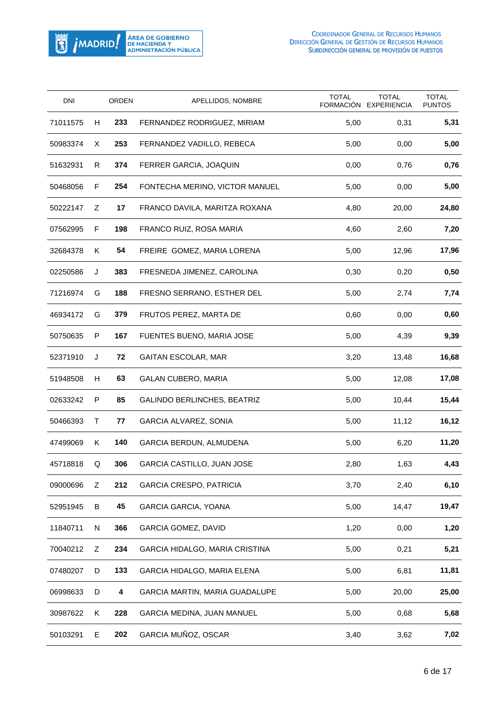

| <b>DNI</b> |    | <b>ORDEN</b> | APELLIDOS, NOMBRE                  | <b>TOTAL</b> | <b>TOTAL</b><br>FORMACIÓN EXPERIENCIA | <b>TOTAL</b><br><b>PUNTOS</b> |
|------------|----|--------------|------------------------------------|--------------|---------------------------------------|-------------------------------|
| 71011575   | H  | 233          | FERNANDEZ RODRIGUEZ, MIRIAM        | 5,00         | 0,31                                  | 5,31                          |
| 50983374   | Χ  | 253          | FERNANDEZ VADILLO, REBECA          | 5,00         | 0,00                                  | 5,00                          |
| 51632931   | R  | 374          | FERRER GARCIA, JOAQUIN             | 0,00         | 0,76                                  | 0,76                          |
| 50468056   | F  | 254          | FONTECHA MERINO, VICTOR MANUEL     | 5,00         | 0,00                                  | 5,00                          |
| 50222147   | Ζ  | 17           | FRANCO DAVILA, MARITZA ROXANA      | 4,80         | 20,00                                 | 24,80                         |
| 07562995   | F  | 198          | FRANCO RUIZ, ROSA MARIA            | 4,60         | 2,60                                  | 7,20                          |
| 32684378   | Κ  | 54           | FREIRE GOMEZ, MARIA LORENA         | 5,00         | 12,96                                 | 17,96                         |
| 02250586   | J  | 383          | FRESNEDA JIMENEZ, CAROLINA         | 0,30         | 0,20                                  | 0,50                          |
| 71216974   | G  | 188          | FRESNO SERRANO, ESTHER DEL         | 5,00         | 2,74                                  | 7,74                          |
| 46934172   | G  | 379          | FRUTOS PEREZ, MARTA DE             | 0,60         | 0,00                                  | 0,60                          |
| 50750635   | P  | 167          | FUENTES BUENO, MARIA JOSE          | 5,00         | 4,39                                  | 9,39                          |
| 52371910   | J  | 72           | GAITAN ESCOLAR, MAR                | 3,20         | 13,48                                 | 16,68                         |
| 51948508   | H  | 63           | <b>GALAN CUBERO, MARIA</b>         | 5,00         | 12,08                                 | 17,08                         |
| 02633242   | P  | 85           | <b>GALINDO BERLINCHES, BEATRIZ</b> | 5,00         | 10,44                                 | 15,44                         |
| 50466393   | Τ  | 77           | <b>GARCIA ALVAREZ, SONIA</b>       | 5,00         | 11,12                                 | 16,12                         |
| 47499069   | K. | 140          | GARCIA BERDUN, ALMUDENA            | 5,00         | 6,20                                  | 11,20                         |
| 45718818   | Q  | 306          | GARCIA CASTILLO, JUAN JOSE         | 2,80         | 1,63                                  | 4,43                          |
| 09000696   | Ζ  | 212          | <b>GARCIA CRESPO, PATRICIA</b>     | 3,70         | 2,40                                  | 6,10                          |
| 52951945   | В  | 45           | GARCIA GARCIA, YOANA               | 5,00         | 14,47                                 | 19,47                         |
| 11840711   | N  | 366          | <b>GARCIA GOMEZ, DAVID</b>         | 1,20         | 0,00                                  | 1,20                          |
| 70040212   | Ζ  | 234          | GARCIA HIDALGO, MARIA CRISTINA     | 5,00         | 0,21                                  | 5,21                          |
| 07480207   | D  | 133          | GARCIA HIDALGO, MARIA ELENA        | 5,00         | 6,81                                  | 11,81                         |
| 06998633   | D  | 4            | GARCIA MARTIN, MARIA GUADALUPE     | 5,00         | 20,00                                 | 25,00                         |
| 30987622   | Κ  | 228          | GARCIA MEDINA, JUAN MANUEL         | 5,00         | 0,68                                  | 5,68                          |
| 50103291   | E  | 202          | GARCIA MUÑOZ, OSCAR                | 3,40         | 3,62                                  | 7,02                          |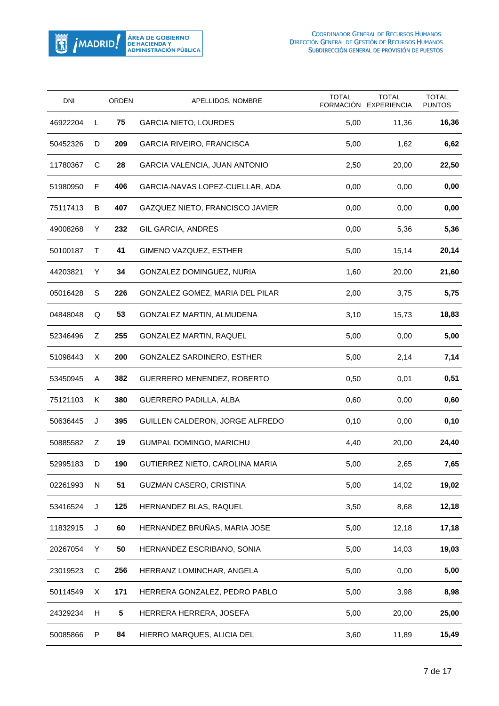

| <b>DNI</b> |           | <b>ORDEN</b> | APELLIDOS, NOMBRE                | <b>TOTAL</b><br><b>FORMACIÓN</b> | <b>TOTAL</b><br><b>EXPERIENCIA</b> | <b>TOTAL</b><br><b>PUNTOS</b> |
|------------|-----------|--------------|----------------------------------|----------------------------------|------------------------------------|-------------------------------|
| 46922204   | L         | 75           | <b>GARCIA NIETO, LOURDES</b>     | 5,00                             | 11,36                              | 16,36                         |
| 50452326   | D         | 209          | <b>GARCIA RIVEIRO, FRANCISCA</b> | 5,00                             | 1,62                               | 6,62                          |
| 11780367   | C         | 28           | GARCIA VALENCIA, JUAN ANTONIO    | 2,50                             | 20,00                              | 22,50                         |
| 51980950   | F         | 406          | GARCIA-NAVAS LOPEZ-CUELLAR, ADA  | 0,00                             | 0,00                               | 0,00                          |
| 75117413   | B         | 407          | GAZQUEZ NIETO, FRANCISCO JAVIER  | 0,00                             | 0,00                               | 0,00                          |
| 49008268   | Y         | 232          | GIL GARCIA, ANDRES               | 0,00                             | 5,36                               | 5,36                          |
| 50100187   | Τ         | 41           | GIMENO VAZQUEZ, ESTHER           | 5,00                             | 15,14                              | 20,14                         |
| 44203821   | Y         | 34           | GONZALEZ DOMINGUEZ, NURIA        | 1,60                             | 20,00                              | 21,60                         |
| 05016428   | S         | 226          | GONZALEZ GOMEZ, MARIA DEL PILAR  | 2,00                             | 3,75                               | 5,75                          |
| 04848048   | Q         | 53           | GONZALEZ MARTIN, ALMUDENA        | 3,10                             | 15,73                              | 18,83                         |
| 52346496   | Ζ         | 255          | GONZALEZ MARTIN, RAQUEL          | 5,00                             | 0,00                               | 5,00                          |
| 51098443   | Χ         | 200          | GONZALEZ SARDINERO, ESTHER       | 5,00                             | 2,14                               | 7,14                          |
| 53450945   | A         | 382          | GUERRERO MENENDEZ, ROBERTO       | 0,50                             | 0,01                               | 0,51                          |
| 75121103   | Κ         | 380          | GUERRERO PADILLA, ALBA           | 0,60                             | 0,00                               | 0,60                          |
| 50636445   | J         | 395          | GUILLEN CALDERON, JORGE ALFREDO  | 0,10                             | 0,00                               | 0,10                          |
| 50885582   | Z         | 19           | GUMPAL DOMINGO, MARICHU          | 4,40                             | 20,00                              | 24,40                         |
| 52995183   | D         | 190          | GUTIERREZ NIETO, CAROLINA MARIA  | 5,00                             | 2,65                               | 7,65                          |
| 02261993   | ${\sf N}$ | 51           | GUZMAN CASERO, CRISTINA          | 5,00                             | 14,02                              | 19,02                         |
| 53416524   | J         | 125          | HERNANDEZ BLAS, RAQUEL           | 3,50                             | 8,68                               | 12,18                         |
| 11832915   | J         | 60           | HERNANDEZ BRUÑAS, MARIA JOSE     | 5,00                             | 12,18                              | 17,18                         |
| 20267054   | Y         | 50           | HERNANDEZ ESCRIBANO, SONIA       | 5,00                             | 14,03                              | 19,03                         |
| 23019523   | C         | 256          | HERRANZ LOMINCHAR, ANGELA        | 5,00                             | 0,00                               | 5,00                          |
| 50114549   | Χ         | 171          | HERRERA GONZALEZ, PEDRO PABLO    | 5,00                             | 3,98                               | 8,98                          |
| 24329234   | H         | 5            | HERRERA HERRERA, JOSEFA          | 5,00                             | 20,00                              | 25,00                         |
| 50085866   | P         | 84           | HIERRO MARQUES, ALICIA DEL       | 3,60                             | 11,89                              | 15,49                         |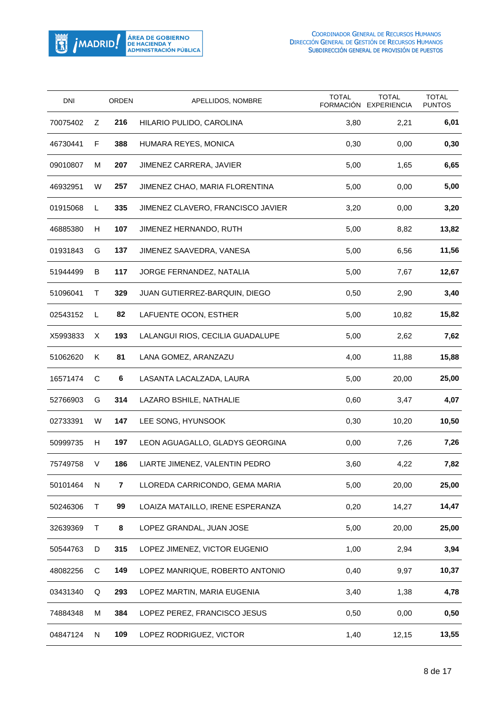

| <b>DNI</b> |           | <b>ORDEN</b> | APELLIDOS, NOMBRE                 | <b>TOTAL</b><br>FORMACIÓN | <b>TOTAL</b><br><b>EXPERIENCIA</b> | <b>TOTAL</b><br><b>PUNTOS</b> |
|------------|-----------|--------------|-----------------------------------|---------------------------|------------------------------------|-------------------------------|
| 70075402   | Ζ         | 216          | HILARIO PULIDO, CAROLINA          | 3,80                      | 2,21                               | 6,01                          |
| 46730441   | F         | 388          | HUMARA REYES, MONICA              | 0,30                      | 0,00                               | 0,30                          |
| 09010807   | м         | 207          | <b>JIMENEZ CARRERA, JAVIER</b>    | 5,00                      | 1,65                               | 6,65                          |
| 46932951   | W         | 257          | JIMENEZ CHAO, MARIA FLORENTINA    | 5,00                      | 0,00                               | 5,00                          |
| 01915068   | L         | 335          | JIMENEZ CLAVERO, FRANCISCO JAVIER | 3,20                      | 0,00                               | 3,20                          |
| 46885380   | H         | 107          | JIMENEZ HERNANDO, RUTH            | 5,00                      | 8,82                               | 13,82                         |
| 01931843   | G         | 137          | JIMENEZ SAAVEDRA, VANESA          | 5,00                      | 6,56                               | 11,56                         |
| 51944499   | B         | 117          | JORGE FERNANDEZ, NATALIA          | 5,00                      | 7,67                               | 12,67                         |
| 51096041   | Τ         | 329          | JUAN GUTIERREZ-BARQUIN, DIEGO     | 0,50                      | 2,90                               | 3,40                          |
| 02543152   | L         | 82           | LAFUENTE OCON, ESTHER             | 5,00                      | 10,82                              | 15,82                         |
| X5993833   | Χ         | 193          | LALANGUI RIOS, CECILIA GUADALUPE  | 5,00                      | 2,62                               | 7,62                          |
| 51062620   | Κ         | 81           | LANA GOMEZ, ARANZAZU              | 4,00                      | 11,88                              | 15,88                         |
| 16571474   | C         | 6            | LASANTA LACALZADA, LAURA          | 5,00                      | 20,00                              | 25,00                         |
| 52766903   | G         | 314          | LAZARO BSHILE, NATHALIE           | 0,60                      | 3,47                               | 4,07                          |
| 02733391   | W         | 147          | LEE SONG, HYUNSOOK                | 0,30                      | 10,20                              | 10,50                         |
| 50999735   | H         | 197          | LEON AGUAGALLO, GLADYS GEORGINA   | 0,00                      | 7,26                               | 7,26                          |
| 75749758   | V         | 186          | LIARTE JIMENEZ, VALENTIN PEDRO    | 3,60                      | 4,22                               | 7,82                          |
| 50101464   | ${\sf N}$ | 7            | LLOREDA CARRICONDO, GEMA MARIA    | 5,00                      | 20,00                              | 25,00                         |
| 50246306   | Τ         | 99           | LOAIZA MATAILLO, IRENE ESPERANZA  | 0,20                      | 14,27                              | 14,47                         |
| 32639369   | T         | 8            | LOPEZ GRANDAL, JUAN JOSE          | 5,00                      | 20,00                              | 25,00                         |
| 50544763   | D         | 315          | LOPEZ JIMENEZ, VICTOR EUGENIO     | 1,00                      | 2,94                               | 3,94                          |
| 48082256   | C         | 149          | LOPEZ MANRIQUE, ROBERTO ANTONIO   | 0,40                      | 9,97                               | 10,37                         |
| 03431340   | Q         | 293          | LOPEZ MARTIN, MARIA EUGENIA       | 3,40                      | 1,38                               | 4,78                          |
| 74884348   | м         | 384          | LOPEZ PEREZ, FRANCISCO JESUS      | 0,50                      | 0,00                               | 0,50                          |
| 04847124   | N         | 109          | LOPEZ RODRIGUEZ, VICTOR           | 1,40                      | 12,15                              | 13,55                         |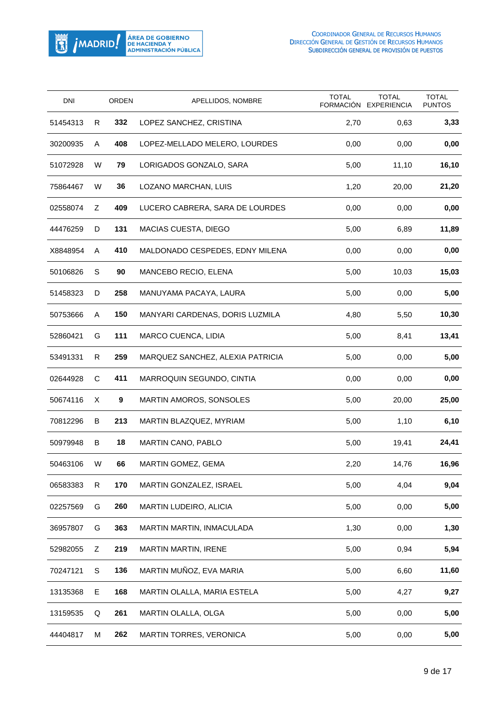

| <b>DNI</b> |    | ORDEN | APELLIDOS, NOMBRE                | <b>TOTAL</b><br>FORMACIÓN | <b>TOTAL</b><br><b>EXPERIENCIA</b> | <b>TOTAL</b><br><b>PUNTOS</b> |
|------------|----|-------|----------------------------------|---------------------------|------------------------------------|-------------------------------|
| 51454313   | R  | 332   | LOPEZ SANCHEZ, CRISTINA          | 2,70                      | 0,63                               | 3,33                          |
| 30200935   | A  | 408   | LOPEZ-MELLADO MELERO, LOURDES    | 0,00                      | 0,00                               | 0,00                          |
| 51072928   | W  | 79    | LORIGADOS GONZALO, SARA          | 5,00                      | 11,10                              | 16,10                         |
| 75864467   | W  | 36    | LOZANO MARCHAN, LUIS             | 1,20                      | 20,00                              | 21,20                         |
| 02558074   | Ζ  | 409   | LUCERO CABRERA, SARA DE LOURDES  | 0,00                      | 0,00                               | 0,00                          |
| 44476259   | D  | 131   | MACIAS CUESTA, DIEGO             | 5,00                      | 6,89                               | 11,89                         |
| X8848954   | A  | 410   | MALDONADO CESPEDES, EDNY MILENA  | 0,00                      | 0,00                               | 0,00                          |
| 50106826   | S  | 90    | MANCEBO RECIO, ELENA             | 5,00                      | 10,03                              | 15,03                         |
| 51458323   | D  | 258   | MANUYAMA PACAYA, LAURA           | 5,00                      | 0,00                               | 5,00                          |
| 50753666   | Α  | 150   | MANYARI CARDENAS, DORIS LUZMILA  | 4,80                      | 5,50                               | 10,30                         |
| 52860421   | G  | 111   | <b>MARCO CUENCA, LIDIA</b>       | 5,00                      | 8,41                               | 13,41                         |
| 53491331   | R  | 259   | MARQUEZ SANCHEZ, ALEXIA PATRICIA | 5,00                      | 0,00                               | 5,00                          |
| 02644928   | C  | 411   | MARROQUIN SEGUNDO, CINTIA        | 0,00                      | 0,00                               | 0,00                          |
| 50674116   | X. | 9     | MARTIN AMOROS, SONSOLES          | 5,00                      | 20,00                              | 25,00                         |
| 70812296   | B  | 213   | MARTIN BLAZQUEZ, MYRIAM          | 5,00                      | 1,10                               | 6,10                          |
| 50979948   | B  | 18    | MARTIN CANO, PABLO               | 5,00                      | 19,41                              | 24,41                         |
| 50463106   | W  | 66    | MARTIN GOMEZ, GEMA               | 2,20                      | 14,76                              | 16,96                         |
| 06583383   | R  | 170   | MARTIN GONZALEZ, ISRAEL          | 5,00                      | 4,04                               | 9,04                          |
| 02257569   | G  | 260   | MARTIN LUDEIRO, ALICIA           | 5,00                      | 0,00                               | 5,00                          |
| 36957807   | G  | 363   | MARTIN MARTIN, INMACULADA        | 1,30                      | 0,00                               | 1,30                          |
| 52982055   | Ζ  | 219   | <b>MARTIN MARTIN, IRENE</b>      | 5,00                      | 0,94                               | 5,94                          |
| 70247121   | S  | 136   | MARTIN MUÑOZ, EVA MARIA          | 5,00                      | 6,60                               | 11,60                         |
| 13135368   | Е  | 168   | MARTIN OLALLA, MARIA ESTELA      | 5,00                      | 4,27                               | 9,27                          |
| 13159535   | Q  | 261   | MARTIN OLALLA, OLGA              | 5,00                      | 0,00                               | 5,00                          |
| 44404817   | м  | 262   | <b>MARTIN TORRES, VERONICA</b>   | 5,00                      | 0,00                               | 5,00                          |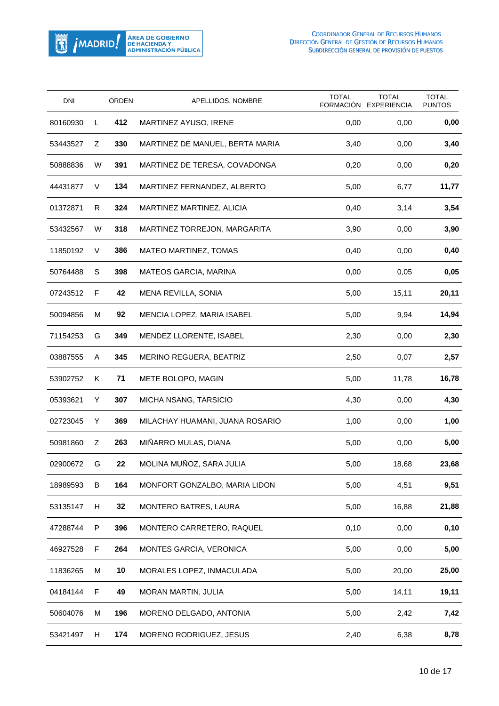

| <b>DNI</b> |   | ORDEN | APELLIDOS, NOMBRE               | <b>TOTAL</b><br><b>FORMACIÓN</b> | <b>TOTAL</b><br><b>EXPERIENCIA</b> | <b>TOTAL</b><br><b>PUNTOS</b> |
|------------|---|-------|---------------------------------|----------------------------------|------------------------------------|-------------------------------|
| 80160930   | L | 412   | MARTINEZ AYUSO, IRENE           | 0,00                             | 0,00                               | 0,00                          |
| 53443527   | Ζ | 330   | MARTINEZ DE MANUEL, BERTA MARIA | 3,40                             | 0,00                               | 3,40                          |
| 50888836   | W | 391   | MARTINEZ DE TERESA, COVADONGA   | 0,20                             | 0,00                               | 0,20                          |
| 44431877   | V | 134   | MARTINEZ FERNANDEZ, ALBERTO     | 5,00                             | 6,77                               | 11,77                         |
| 01372871   | R | 324   | MARTINEZ MARTINEZ, ALICIA       | 0,40                             | 3,14                               | 3,54                          |
| 53432567   | W | 318   | MARTINEZ TORREJON, MARGARITA    | 3,90                             | 0,00                               | 3,90                          |
| 11850192   | V | 386   | MATEO MARTINEZ, TOMAS           | 0,40                             | 0,00                               | 0,40                          |
| 50764488   | S | 398   | MATEOS GARCIA, MARINA           | 0,00                             | 0,05                               | 0,05                          |
| 07243512   | F | 42    | MENA REVILLA, SONIA             | 5,00                             | 15,11                              | 20,11                         |
| 50094856   | м | 92    | MENCIA LOPEZ, MARIA ISABEL      | 5,00                             | 9,94                               | 14,94                         |
| 71154253   | G | 349   | MENDEZ LLORENTE, ISABEL         | 2,30                             | 0,00                               | 2,30                          |
| 03887555   | Α | 345   | MERINO REGUERA, BEATRIZ         | 2,50                             | 0,07                               | 2,57                          |
| 53902752   | Κ | 71    | METE BOLOPO, MAGIN              | 5,00                             | 11,78                              | 16,78                         |
| 05393621   | Y | 307   | MICHA NSANG, TARSICIO           | 4,30                             | 0,00                               | 4,30                          |
| 02723045   | Y | 369   | MILACHAY HUAMANI, JUANA ROSARIO | 1,00                             | 0,00                               | 1,00                          |
| 50981860   | Ζ | 263   | MIÑARRO MULAS, DIANA            | 5,00                             | 0,00                               | 5,00                          |
| 02900672   | G | 22    | MOLINA MUÑOZ, SARA JULIA        | 5,00                             | 18,68                              | 23,68                         |
| 18989593   | B | 164   | MONFORT GONZALBO, MARIA LIDON   | 5,00                             | 4,51                               | 9,51                          |
| 53135147   | н | 32    | MONTERO BATRES, LAURA           | 5,00                             | 16,88                              | 21,88                         |
| 47288744   | P | 396   | MONTERO CARRETERO, RAQUEL       | 0,10                             | 0,00                               | 0,10                          |
| 46927528   | F | 264   | <b>MONTES GARCIA, VERONICA</b>  | 5,00                             | 0,00                               | 5,00                          |
| 11836265   | м | 10    | MORALES LOPEZ, INMACULADA       | 5,00                             | 20,00                              | 25,00                         |
| 04184144   | F | 49    | <b>MORAN MARTIN, JULIA</b>      | 5,00                             | 14,11                              | 19,11                         |
| 50604076   | м | 196   | MORENO DELGADO, ANTONIA         | 5,00                             | 2,42                               | 7,42                          |
| 53421497   | H | 174   | MORENO RODRIGUEZ, JESUS         | 2,40                             | 6,38                               | 8,78                          |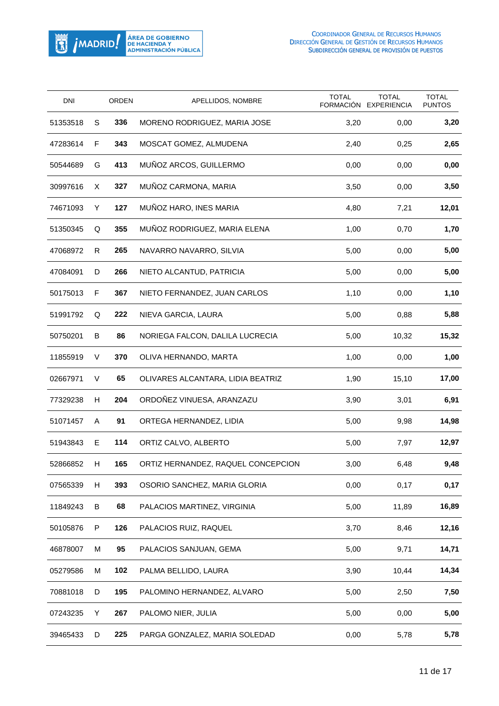

| DNI      |    | <b>ORDEN</b> | APELLIDOS, NOMBRE                  | <b>TOTAL</b><br>FORMACIÓN | <b>TOTAL</b><br><b>EXPERIENCIA</b> | <b>TOTAL</b><br><b>PUNTOS</b> |
|----------|----|--------------|------------------------------------|---------------------------|------------------------------------|-------------------------------|
| 51353518 | S  | 336          | MORENO RODRIGUEZ, MARIA JOSE       | 3,20                      | 0,00                               | 3,20                          |
| 47283614 | F  | 343          | MOSCAT GOMEZ, ALMUDENA             | 2,40                      | 0,25                               | 2,65                          |
| 50544689 | G  | 413          | MUÑOZ ARCOS, GUILLERMO             | 0,00                      | 0,00                               | 0,00                          |
| 30997616 | X. | 327          | MUÑOZ CARMONA, MARIA               | 3,50                      | 0,00                               | 3,50                          |
| 74671093 | Y  | 127          | MUÑOZ HARO, INES MARIA             | 4,80                      | 7,21                               | 12,01                         |
| 51350345 | Q  | 355          | MUÑOZ RODRIGUEZ, MARIA ELENA       | 1,00                      | 0,70                               | 1,70                          |
| 47068972 | R  | 265          | NAVARRO NAVARRO, SILVIA            | 5,00                      | 0,00                               | 5,00                          |
| 47084091 | D  | 266          | NIETO ALCANTUD, PATRICIA           | 5,00                      | 0,00                               | 5,00                          |
| 50175013 | F  | 367          | NIETO FERNANDEZ, JUAN CARLOS       | 1,10                      | 0,00                               | 1,10                          |
| 51991792 | Q  | 222          | NIEVA GARCIA, LAURA                | 5,00                      | 0,88                               | 5,88                          |
| 50750201 | B  | 86           | NORIEGA FALCON, DALILA LUCRECIA    | 5,00                      | 10,32                              | 15,32                         |
| 11855919 | V  | 370          | OLIVA HERNANDO, MARTA              | 1,00                      | 0,00                               | 1,00                          |
| 02667971 | V  | 65           | OLIVARES ALCANTARA, LIDIA BEATRIZ  | 1,90                      | 15,10                              | 17,00                         |
| 77329238 | H  | 204          | ORDOÑEZ VINUESA, ARANZAZU          | 3,90                      | 3,01                               | 6,91                          |
| 51071457 | A  | 91           | ORTEGA HERNANDEZ, LIDIA            | 5,00                      | 9,98                               | 14,98                         |
| 51943843 | Е  | 114          | ORTIZ CALVO, ALBERTO               | 5,00                      | 7,97                               | 12,97                         |
| 52866852 | H. | 165          | ORTIZ HERNANDEZ, RAQUEL CONCEPCION | 3,00                      | 6,48                               | 9,48                          |
| 07565339 | Н  | 393          | OSORIO SANCHEZ, MARIA GLORIA       | 0,00                      | 0,17                               | 0,17                          |
| 11849243 | B  | 68           | PALACIOS MARTINEZ, VIRGINIA        | 5,00                      | 11,89                              | 16,89                         |
| 50105876 | P  | 126          | PALACIOS RUIZ, RAQUEL              | 3,70                      | 8,46                               | 12,16                         |
| 46878007 | M  | 95           | PALACIOS SANJUAN, GEMA             | 5,00                      | 9,71                               | 14,71                         |
| 05279586 | М  | 102          | PALMA BELLIDO, LAURA               | 3,90                      | 10,44                              | 14,34                         |
| 70881018 | D  | 195          | PALOMINO HERNANDEZ, ALVARO         | 5,00                      | 2,50                               | 7,50                          |
| 07243235 | Y  | 267          | PALOMO NIER, JULIA                 | 5,00                      | 0,00                               | 5,00                          |
| 39465433 | D  | 225          | PARGA GONZALEZ, MARIA SOLEDAD      | 0,00                      | 5,78                               | 5,78                          |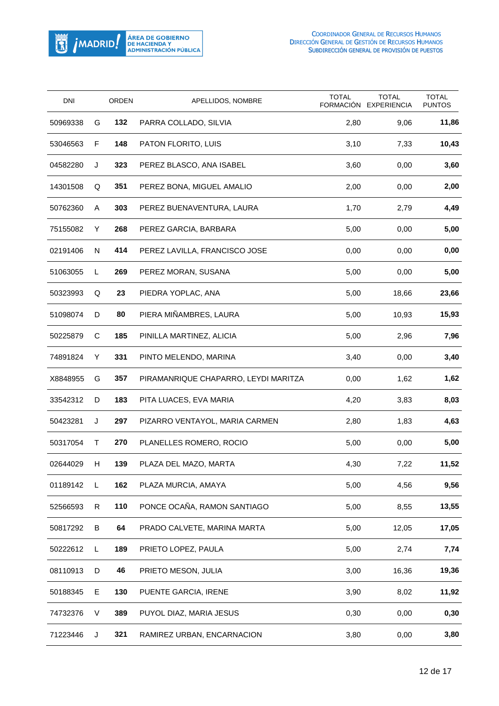

| DNI      |    | <b>ORDEN</b> | APELLIDOS, NOMBRE                    | <b>TOTAL</b><br>FORMACIÓN | <b>TOTAL</b><br><b>EXPERIENCIA</b> | <b>TOTAL</b><br><b>PUNTOS</b> |
|----------|----|--------------|--------------------------------------|---------------------------|------------------------------------|-------------------------------|
| 50969338 | G  | 132          | PARRA COLLADO, SILVIA                | 2,80                      | 9,06                               | 11,86                         |
| 53046563 | F  | 148          | PATON FLORITO, LUIS                  | 3,10                      | 7,33                               | 10,43                         |
| 04582280 | J  | 323          | PEREZ BLASCO, ANA ISABEL             | 3,60                      | 0,00                               | 3,60                          |
| 14301508 | Q  | 351          | PEREZ BONA, MIGUEL AMALIO            | 2,00                      | 0,00                               | 2,00                          |
| 50762360 | A  | 303          | PEREZ BUENAVENTURA, LAURA            | 1,70                      | 2,79                               | 4,49                          |
| 75155082 | Y  | 268          | PEREZ GARCIA, BARBARA                | 5,00                      | 0,00                               | 5,00                          |
| 02191406 | N  | 414          | PEREZ LAVILLA, FRANCISCO JOSE        | 0,00                      | 0,00                               | 0,00                          |
| 51063055 | L  | 269          | PEREZ MORAN, SUSANA                  | 5,00                      | 0,00                               | 5,00                          |
| 50323993 | Q  | 23           | PIEDRA YOPLAC, ANA                   | 5,00                      | 18,66                              | 23,66                         |
| 51098074 | D  | 80           | PIERA MIÑAMBRES, LAURA               | 5,00                      | 10,93                              | 15,93                         |
| 50225879 | C  | 185          | PINILLA MARTINEZ, ALICIA             | 5,00                      | 2,96                               | 7,96                          |
| 74891824 | Y  | 331          | PINTO MELENDO, MARINA                | 3,40                      | 0,00                               | 3,40                          |
| X8848955 | G  | 357          | PIRAMANRIQUE CHAPARRO, LEYDI MARITZA | 0,00                      | 1,62                               | 1,62                          |
| 33542312 | D  | 183          | PITA LUACES, EVA MARIA               | 4,20                      | 3,83                               | 8,03                          |
| 50423281 | J  | 297          | PIZARRO VENTAYOL, MARIA CARMEN       | 2,80                      | 1,83                               | 4,63                          |
| 50317054 | T  | 270          | PLANELLES ROMERO, ROCIO              | 5,00                      | 0,00                               | 5,00                          |
| 02644029 | H. | 139          | PLAZA DEL MAZO, MARTA                | 4,30                      | 7,22                               | 11,52                         |
| 01189142 | L  | 162          | PLAZA MURCIA, AMAYA                  | 5,00                      | 4,56                               | 9,56                          |
| 52566593 | R  | 110          | PONCE OCAÑA, RAMON SANTIAGO          | 5,00                      | 8,55                               | 13,55                         |
| 50817292 | B  | 64           | PRADO CALVETE, MARINA MARTA          | 5,00                      | 12,05                              | 17,05                         |
| 50222612 | L  | 189          | PRIETO LOPEZ, PAULA                  | 5,00                      | 2,74                               | 7,74                          |
| 08110913 | D  | 46           | PRIETO MESON, JULIA                  | 3,00                      | 16,36                              | 19,36                         |
| 50188345 | Е  | 130          | PUENTE GARCIA, IRENE                 | 3,90                      | 8,02                               | 11,92                         |
| 74732376 | V  | 389          | PUYOL DIAZ, MARIA JESUS              | 0,30                      | 0,00                               | 0,30                          |
| 71223446 | J  | 321          | RAMIREZ URBAN, ENCARNACION           | 3,80                      | 0,00                               | 3,80                          |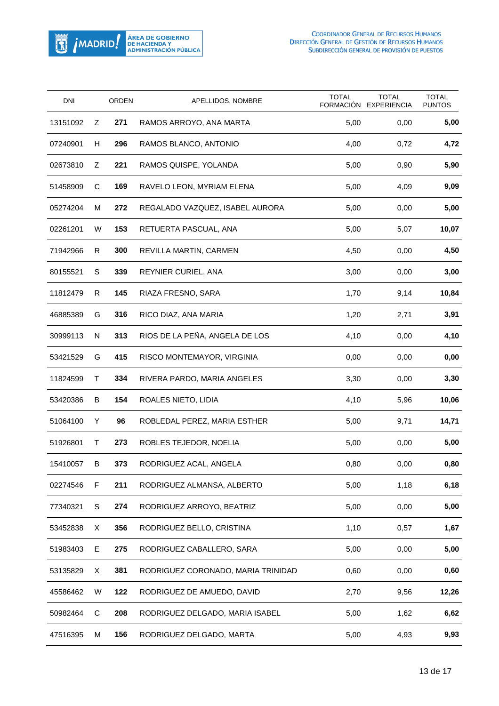

| <b>DNI</b> |   | <b>ORDEN</b> | APELLIDOS, NOMBRE                  | <b>TOTAL</b><br><b>FORMACIÓN</b> | <b>TOTAL</b><br><b>EXPERIENCIA</b> | <b>TOTAL</b><br><b>PUNTOS</b> |
|------------|---|--------------|------------------------------------|----------------------------------|------------------------------------|-------------------------------|
| 13151092   | Z | 271          | RAMOS ARROYO, ANA MARTA            | 5,00                             | 0,00                               | 5,00                          |
| 07240901   | H | 296          | RAMOS BLANCO, ANTONIO              | 4,00                             | 0,72                               | 4,72                          |
| 02673810   | Ζ | 221          | RAMOS QUISPE, YOLANDA              | 5,00                             | 0,90                               | 5,90                          |
| 51458909   | С | 169          | RAVELO LEON, MYRIAM ELENA          | 5,00                             | 4,09                               | 9,09                          |
| 05274204   | м | 272          | REGALADO VAZQUEZ, ISABEL AURORA    | 5,00                             | 0,00                               | 5,00                          |
| 02261201   | W | 153          | RETUERTA PASCUAL, ANA              | 5,00                             | 5,07                               | 10,07                         |
| 71942966   | R | 300          | REVILLA MARTIN, CARMEN             | 4,50                             | 0,00                               | 4,50                          |
| 80155521   | S | 339          | REYNIER CURIEL, ANA                | 3,00                             | 0,00                               | 3,00                          |
| 11812479   | R | 145          | RIAZA FRESNO, SARA                 | 1,70                             | 9,14                               | 10,84                         |
| 46885389   | G | 316          | RICO DIAZ, ANA MARIA               | 1,20                             | 2,71                               | 3,91                          |
| 30999113   | N | 313          | RIOS DE LA PEÑA, ANGELA DE LOS     | 4,10                             | 0,00                               | 4,10                          |
| 53421529   | G | 415          | RISCO MONTEMAYOR, VIRGINIA         | 0,00                             | 0,00                               | 0,00                          |
| 11824599   | т | 334          | RIVERA PARDO, MARIA ANGELES        | 3,30                             | 0,00                               | 3,30                          |
| 53420386   | B | 154          | ROALES NIETO, LIDIA                | 4,10                             | 5,96                               | 10,06                         |
| 51064100   | Y | 96           | ROBLEDAL PEREZ, MARIA ESTHER       | 5,00                             | 9,71                               | 14,71                         |
| 51926801   | т | 273          | ROBLES TEJEDOR, NOELIA             | 5,00                             | 0,00                               | 5,00                          |
| 15410057   | B | 373          | RODRIGUEZ ACAL, ANGELA             | 0,80                             | 0,00                               | 0,80                          |
| 02274546   | F | 211          | RODRIGUEZ ALMANSA, ALBERTO         | 5,00                             | 1,18                               | 6,18                          |
| 77340321   | S | 274          | RODRIGUEZ ARROYO, BEATRIZ          | 5,00                             | 0,00                               | 5,00                          |
| 53452838   | Χ | 356          | RODRIGUEZ BELLO, CRISTINA          | 1,10                             | 0,57                               | 1,67                          |
| 51983403   | Е | 275          | RODRIGUEZ CABALLERO, SARA          | 5,00                             | 0,00                               | 5,00                          |
| 53135829   | X | 381          | RODRIGUEZ CORONADO, MARIA TRINIDAD | 0,60                             | 0,00                               | 0,60                          |
| 45586462   | W | 122          | RODRIGUEZ DE AMUEDO, DAVID         | 2,70                             | 9,56                               | 12,26                         |
| 50982464   | С | 208          | RODRIGUEZ DELGADO, MARIA ISABEL    | 5,00                             | 1,62                               | 6,62                          |
| 47516395   | М | 156          | RODRIGUEZ DELGADO, MARTA           | 5,00                             | 4,93                               | 9,93                          |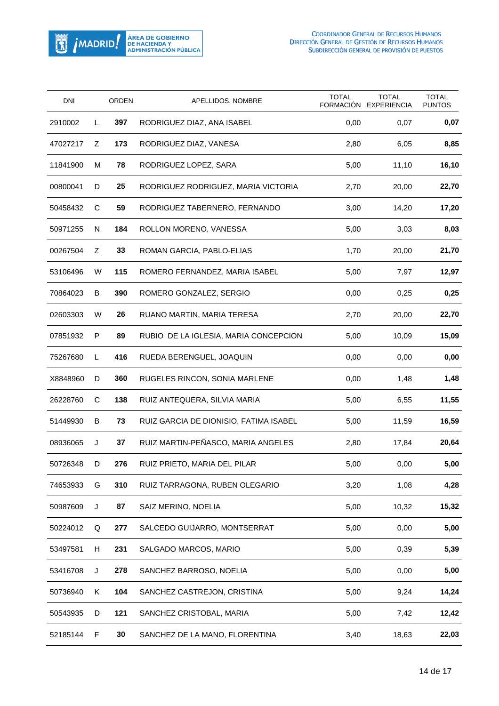

| <b>DNI</b> |    | <b>ORDEN</b> | APELLIDOS, NOMBRE                      | <b>TOTAL</b><br>FORMACIÓN | <b>TOTAL</b><br><b>EXPERIENCIA</b> | <b>TOTAL</b><br><b>PUNTOS</b> |
|------------|----|--------------|----------------------------------------|---------------------------|------------------------------------|-------------------------------|
| 2910002    | L  | 397          | RODRIGUEZ DIAZ, ANA ISABEL             | 0,00                      | 0,07                               | 0,07                          |
| 47027217   | Ζ  | 173          | RODRIGUEZ DIAZ, VANESA                 | 2,80                      | 6,05                               | 8,85                          |
| 11841900   | M  | 78           | RODRIGUEZ LOPEZ, SARA                  | 5,00                      | 11,10                              | 16,10                         |
| 00800041   | D  | 25           | RODRIGUEZ RODRIGUEZ, MARIA VICTORIA    | 2,70                      | 20,00                              | 22,70                         |
| 50458432   | C  | 59           | RODRIGUEZ TABERNERO, FERNANDO          | 3,00                      | 14,20                              | 17,20                         |
| 50971255   | N  | 184          | ROLLON MORENO, VANESSA                 | 5,00                      | 3,03                               | 8,03                          |
| 00267504   | Ζ  | 33           | ROMAN GARCIA, PABLO-ELIAS              | 1,70                      | 20,00                              | 21,70                         |
| 53106496   | W  | 115          | ROMERO FERNANDEZ, MARIA ISABEL         | 5,00                      | 7,97                               | 12,97                         |
| 70864023   | B  | 390          | ROMERO GONZALEZ, SERGIO                | 0,00                      | 0,25                               | 0,25                          |
| 02603303   | W  | 26           | RUANO MARTIN, MARIA TERESA             | 2,70                      | 20,00                              | 22,70                         |
| 07851932   | P  | 89           | RUBIO DE LA IGLESIA, MARIA CONCEPCION  | 5,00                      | 10,09                              | 15,09                         |
| 75267680   | L  | 416          | RUEDA BERENGUEL, JOAQUIN               | 0,00                      | 0,00                               | 0,00                          |
| X8848960   | D  | 360          | RUGELES RINCON, SONIA MARLENE          | 0,00                      | 1,48                               | 1,48                          |
| 26228760   | С  | 138          | RUIZ ANTEQUERA, SILVIA MARIA           | 5,00                      | 6,55                               | 11,55                         |
| 51449930   | B  | 73           | RUIZ GARCIA DE DIONISIO, FATIMA ISABEL | 5,00                      | 11,59                              | 16,59                         |
| 08936065   | J  | 37           | RUIZ MARTIN-PEÑASCO, MARIA ANGELES     | 2,80                      | 17,84                              | 20,64                         |
| 50726348   | D  | 276          | RUIZ PRIETO, MARIA DEL PILAR           | 5,00                      | 0,00                               | 5,00                          |
| 74653933   | G  | 310          | RUIZ TARRAGONA, RUBEN OLEGARIO         | 3,20                      | 1,08                               | 4,28                          |
| 50987609   | J  | 87           | SAIZ MERINO, NOELIA                    | 5,00                      | 10,32                              | 15,32                         |
| 50224012   | Q  | 277          | SALCEDO GUIJARRO, MONTSERRAT           | 5,00                      | 0,00                               | 5,00                          |
| 53497581   | H. | 231          | SALGADO MARCOS, MARIO                  | 5,00                      | 0,39                               | 5,39                          |
| 53416708   | J  | 278          | SANCHEZ BARROSO, NOELIA                | 5,00                      | 0,00                               | 5,00                          |
| 50736940   | Κ  | 104          | SANCHEZ CASTREJON, CRISTINA            | 5,00                      | 9,24                               | 14,24                         |
| 50543935   | D  | 121          | SANCHEZ CRISTOBAL, MARIA               | 5,00                      | 7,42                               | 12,42                         |
| 52185144   | F  | 30           | SANCHEZ DE LA MANO, FLORENTINA         | 3,40                      | 18,63                              | 22,03                         |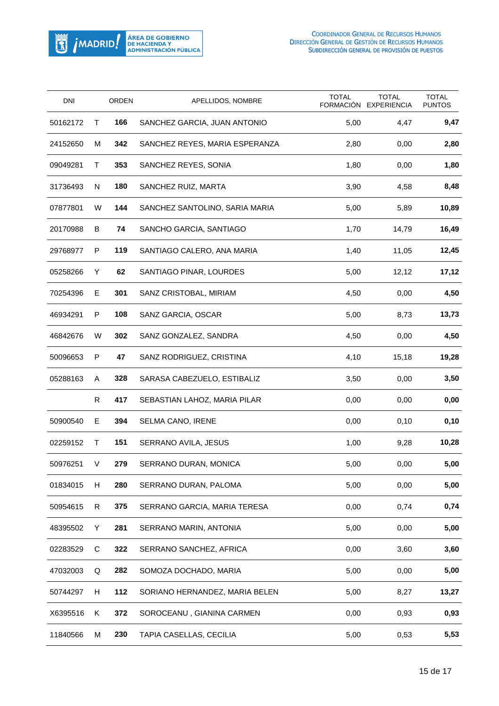

| <b>DNI</b> |   | <b>ORDEN</b> | APELLIDOS, NOMBRE              | <b>TOTAL</b><br>FORMACIÓN | <b>TOTAL</b><br><b>EXPERIENCIA</b> | <b>TOTAL</b><br><b>PUNTOS</b> |
|------------|---|--------------|--------------------------------|---------------------------|------------------------------------|-------------------------------|
| 50162172   | Τ | 166          | SANCHEZ GARCIA, JUAN ANTONIO   | 5,00                      | 4,47                               | 9,47                          |
| 24152650   | м | 342          | SANCHEZ REYES, MARIA ESPERANZA | 2,80                      | 0,00                               | 2,80                          |
| 09049281   | Τ | 353          | SANCHEZ REYES, SONIA           | 1,80                      | 0,00                               | 1,80                          |
| 31736493   | N | 180          | SANCHEZ RUIZ, MARTA            | 3,90                      | 4,58                               | 8,48                          |
| 07877801   | W | 144          | SANCHEZ SANTOLINO, SARIA MARIA | 5,00                      | 5,89                               | 10,89                         |
| 20170988   | B | 74           | SANCHO GARCIA, SANTIAGO        | 1,70                      | 14,79                              | 16,49                         |
| 29768977   | P | 119          | SANTIAGO CALERO, ANA MARIA     | 1,40                      | 11,05                              | 12,45                         |
| 05258266   | Y | 62           | SANTIAGO PINAR, LOURDES        | 5,00                      | 12,12                              | 17,12                         |
| 70254396   | Е | 301          | SANZ CRISTOBAL, MIRIAM         | 4,50                      | 0,00                               | 4,50                          |
| 46934291   | P | 108          | SANZ GARCIA, OSCAR             | 5,00                      | 8,73                               | 13,73                         |
| 46842676   | W | 302          | SANZ GONZALEZ, SANDRA          | 4,50                      | 0,00                               | 4,50                          |
| 50096653   | P | 47           | SANZ RODRIGUEZ, CRISTINA       | 4,10                      | 15,18                              | 19,28                         |
| 05288163   | A | 328          | SARASA CABEZUELO, ESTIBALIZ    | 3,50                      | 0,00                               | 3,50                          |
|            | R | 417          | SEBASTIAN LAHOZ, MARIA PILAR   | 0,00                      | 0,00                               | 0,00                          |
| 50900540   | Е | 394          | SELMA CANO, IRENE              | 0,00                      | 0,10                               | 0,10                          |
| 02259152   | T | 151          | SERRANO AVILA, JESUS           | 1,00                      | 9,28                               | 10,28                         |
| 50976251   | V | 279          | SERRANO DURAN, MONICA          | 5,00                      | 0,00                               | 5,00                          |
| 01834015   | H | 280          | SERRANO DURAN, PALOMA          | 5,00                      | 0,00                               | 5,00                          |
| 50954615   | R | 375          | SERRANO GARCIA, MARIA TERESA   | 0,00                      | 0,74                               | 0,74                          |
| 48395502   | Y | 281          | SERRANO MARIN, ANTONIA         | 5,00                      | 0,00                               | 5,00                          |
| 02283529   | C | 322          | SERRANO SANCHEZ, AFRICA        | 0,00                      | 3,60                               | 3,60                          |
| 47032003   | Q | 282          | SOMOZA DOCHADO, MARIA          | 5,00                      | 0,00                               | 5,00                          |
| 50744297   | H | 112          | SORIANO HERNANDEZ, MARIA BELEN | 5,00                      | 8,27                               | 13,27                         |
| X6395516   | Κ | 372          | SOROCEANU, GIANINA CARMEN      | 0,00                      | 0,93                               | 0,93                          |
| 11840566   | М | 230          | TAPIA CASELLAS, CECILIA        | 5,00                      | 0,53                               | 5,53                          |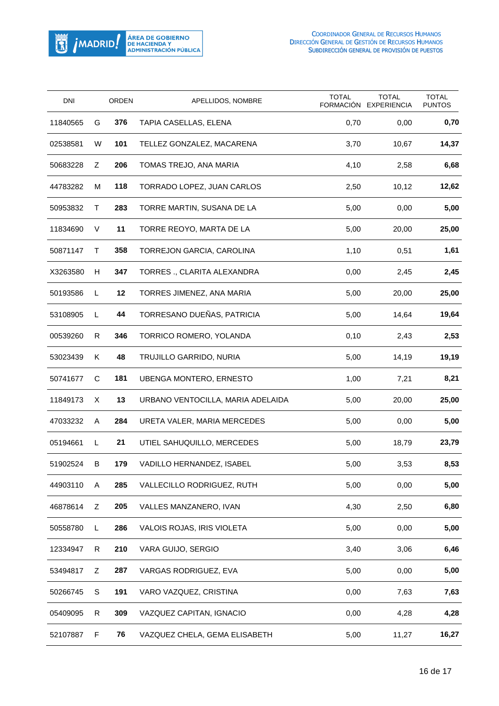

| <b>DNI</b> |   | ORDEN | APELLIDOS, NOMBRE                 | <b>TOTAL</b><br>FORMACIÓN | <b>TOTAL</b><br><b>EXPERIENCIA</b> | <b>TOTAL</b><br><b>PUNTOS</b> |
|------------|---|-------|-----------------------------------|---------------------------|------------------------------------|-------------------------------|
| 11840565   | G | 376   | TAPIA CASELLAS, ELENA             | 0,70                      | 0,00                               | 0,70                          |
| 02538581   | W | 101   | TELLEZ GONZALEZ, MACARENA         | 3,70                      | 10,67                              | 14,37                         |
| 50683228   | Ζ | 206   | TOMAS TREJO, ANA MARIA            | 4,10                      | 2,58                               | 6,68                          |
| 44783282   | м | 118   | TORRADO LOPEZ, JUAN CARLOS        | 2,50                      | 10,12                              | 12,62                         |
| 50953832   | т | 283   | TORRE MARTIN, SUSANA DE LA        | 5,00                      | 0,00                               | 5,00                          |
| 11834690   | V | 11    | TORRE REOYO, MARTA DE LA          | 5,00                      | 20,00                              | 25,00                         |
| 50871147   | Τ | 358   | TORREJON GARCIA, CAROLINA         | 1,10                      | 0,51                               | 1,61                          |
| X3263580   | H | 347   | TORRES ., CLARITA ALEXANDRA       | 0,00                      | 2,45                               | 2,45                          |
| 50193586   | L | 12    | TORRES JIMENEZ, ANA MARIA         | 5,00                      | 20,00                              | 25,00                         |
| 53108905   | L | 44    | TORRESANO DUEÑAS, PATRICIA        | 5,00                      | 14,64                              | 19,64                         |
| 00539260   | R | 346   | TORRICO ROMERO, YOLANDA           | 0,10                      | 2,43                               | 2,53                          |
| 53023439   | Κ | 48    | TRUJILLO GARRIDO, NURIA           | 5,00                      | 14,19                              | 19,19                         |
| 50741677   | C | 181   | <b>UBENGA MONTERO, ERNESTO</b>    | 1,00                      | 7,21                               | 8,21                          |
| 11849173   | X | 13    | URBANO VENTOCILLA, MARIA ADELAIDA | 5,00                      | 20,00                              | 25,00                         |
| 47033232   | A | 284   | URETA VALER, MARIA MERCEDES       | 5,00                      | 0,00                               | 5,00                          |
| 05194661   | L | 21    | UTIEL SAHUQUILLO, MERCEDES        | 5,00                      | 18,79                              | 23,79                         |
| 51902524   | B | 179   | VADILLO HERNANDEZ, ISABEL         | 5,00                      | 3,53                               | 8,53                          |
| 44903110   | Α | 285   | VALLECILLO RODRIGUEZ, RUTH        | 5,00                      | 0,00                               | 5,00                          |
| 46878614   | Ζ | 205   | VALLES MANZANERO, IVAN            | 4,30                      | 2,50                               | 6,80                          |
| 50558780   | L | 286   | VALOIS ROJAS, IRIS VIOLETA        | 5,00                      | 0,00                               | 5,00                          |
| 12334947   | R | 210   | VARA GUIJO, SERGIO                | 3,40                      | 3,06                               | 6,46                          |
| 53494817   | Ζ | 287   | VARGAS RODRIGUEZ, EVA             | 5,00                      | 0,00                               | 5,00                          |
| 50266745   | S | 191   | VARO VAZQUEZ, CRISTINA            | 0,00                      | 7,63                               | 7,63                          |
| 05409095   | R | 309   | VAZQUEZ CAPITAN, IGNACIO          | 0,00                      | 4,28                               | 4,28                          |
| 52107887   | F | 76    | VAZQUEZ CHELA, GEMA ELISABETH     | 5,00                      | 11,27                              | 16,27                         |